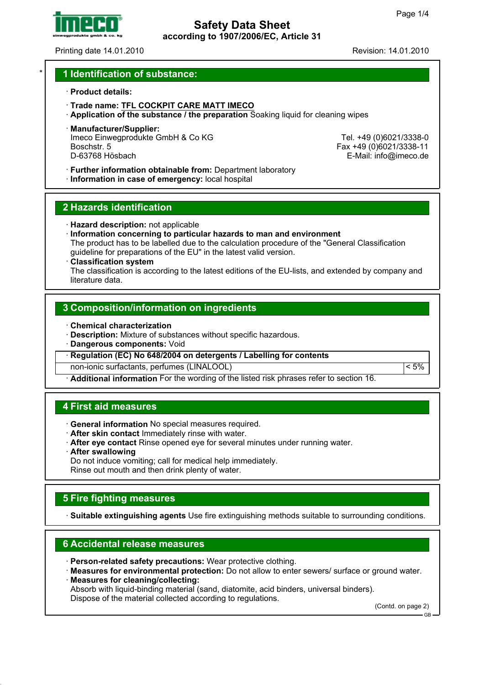

# **Safety Data Sheet according to 1907/2006/EC, Article 31**

Printing date 14.01.2010 Revision: 14.01.2010

### \* **1 Identification of substance:**

#### · **Product details:**

- · **Trade name: TFL COCKPIT CARE MATT IMECO**
- · **Application of the substance / the preparation** Soaking liquid for cleaning wipes
- · **Manufacturer/Supplier:** Imeco Einwegprodukte GmbH & Co KG Tel. +49 (0)6021/3338-0<br>Boschstr. 5 Tel. +49 (0)6021/3338-11 Boschstr. 5 Fax +49 (0)6021/3338-11

E-Mail: info@imeco.de

· **Further information obtainable from:** Department laboratory

· **Information in case of emergency:** local hospital

### **2 Hazards identification**

- · **Hazard description:** not applicable
- · **Information concerning to particular hazards to man and environment** The product has to be labelled due to the calculation procedure of the "General Classification guideline for preparations of the EU" in the latest valid version.

#### · **Classification system**

The classification is according to the latest editions of the EU-lists, and extended by company and literature data.

## **3 Composition/information on ingredients**

- · **Chemical characterization**
- · **Description:** Mixture of substances without specific hazardous.
- · **Dangerous components:** Void

· **Regulation (EC) No 648/2004 on detergents / Labelling for contents**

non-ionic surfactants, perfumes (LINALOOL) < 5%

· **Additional information** For the wording of the listed risk phrases refer to section 16.

### **4 First aid measures**

- · **General information** No special measures required.
- · **After skin contact** Immediately rinse with water.
- · **After eye contact** Rinse opened eye for several minutes under running water.
- · **After swallowing**

Do not induce vomiting; call for medical help immediately.

Rinse out mouth and then drink plenty of water.

## **5 Fire fighting measures**

· **Suitable extinguishing agents** Use fire extinguishing methods suitable to surrounding conditions.

## **6 Accidental release measures**

- · **Person-related safety precautions:** Wear protective clothing.
- · **Measures for environmental protection:** Do not allow to enter sewers/ surface or ground water. · **Measures for cleaning/collecting:**

Absorb with liquid-binding material (sand, diatomite, acid binders, universal binders). Dispose of the material collected according to regulations.

(Contd. on page 2)

GB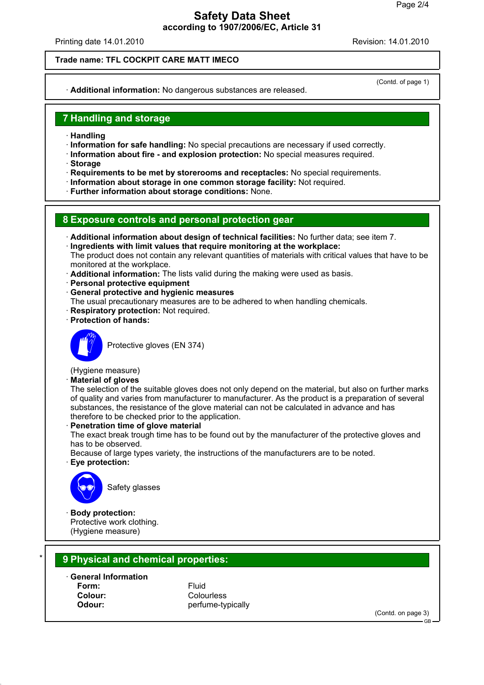# **Safety Data Sheet according to 1907/2006/EC, Article 31**

Printing date 14.01.2010 Revision: 14.01.2010

### **Trade name: TFL COCKPIT CARE MATT IMECO**

· **Additional information:** No dangerous substances are released.

(Contd. of page 1)

## **7 Handling and storage**

- · **Handling**
- · **Information for safe handling:** No special precautions are necessary if used correctly.
- · **Information about fire and explosion protection:** No special measures required.
- · **Storage**
- · **Requirements to be met by storerooms and receptacles:** No special requirements.
- · **Information about storage in one common storage facility:** Not required.
- · **Further information about storage conditions:** None.

### **8 Exposure controls and personal protection gear**

- · **Additional information about design of technical facilities:** No further data; see item 7.
- · **Ingredients with limit values that require monitoring at the workplace:**
- The product does not contain any relevant quantities of materials with critical values that have to be monitored at the workplace.
- · **Additional information:** The lists valid during the making were used as basis.
- · **Personal protective equipment**
- · **General protective and hygienic measures**
- The usual precautionary measures are to be adhered to when handling chemicals.
- **Respiratory protection: Not required.**
- · **Protection of hands:**



Protective gloves (EN 374)

# (Hygiene measure)

· **Material of gloves**

The selection of the suitable gloves does not only depend on the material, but also on further marks of quality and varies from manufacturer to manufacturer. As the product is a preparation of several substances, the resistance of the glove material can not be calculated in advance and has therefore to be checked prior to the application.

· **Penetration time of glove material**

The exact break trough time has to be found out by the manufacturer of the protective gloves and has to be observed.

Because of large types variety, the instructions of the manufacturers are to be noted.

· **Eye protection:**



Safety glasses

· **Body protection:** Protective work clothing. (Hygiene measure)

# \* **9 Physical and chemical properties:**

· **General Information Form:** Fluid **Colour:** Colourless

**Odour:** perfume-typically

(Contd. on page 3)

GB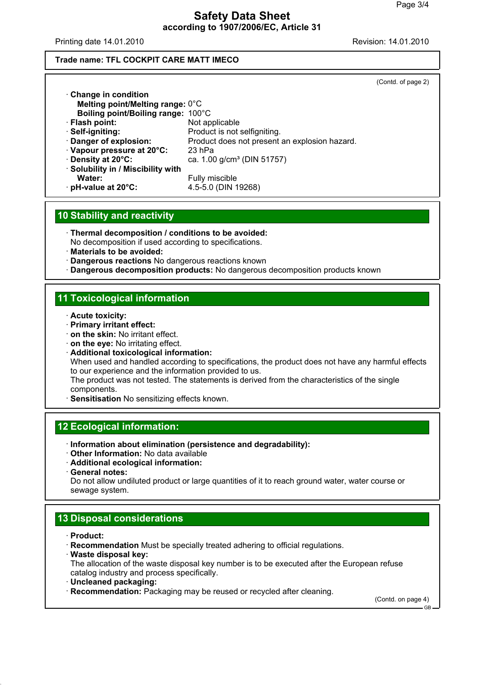# **Safety Data Sheet according to 1907/2006/EC, Article 31**

Printing date 14.01.2010 Revision: 14.01.2010

### **Trade name: TFL COCKPIT CARE MATT IMECO**

|                                    |                                               | (Contd. of page 2) |
|------------------------------------|-----------------------------------------------|--------------------|
| $\cdot$ Change in condition        |                                               |                    |
| Melting point/Melting range: 0°C   |                                               |                    |
| Boiling point/Boiling range: 100°C |                                               |                    |
| · Flash point:                     | Not applicable                                |                    |
| · Self-igniting:                   | Product is not selfigniting.                  |                    |
| · Danger of explosion:             | Product does not present an explosion hazard. |                    |
| Vapour pressure at 20°C:           | $23$ hPa                                      |                    |
| Density at 20°C:                   | ca. 1.00 g/cm <sup>3</sup> (DIN 51757)        |                    |
| · Solubility in / Miscibility with |                                               |                    |
| Water:                             | Fully miscible                                |                    |
| · pH-value at 20°C:                | 4.5-5.0 (DIN 19268)                           |                    |
|                                    |                                               |                    |

## **10 Stability and reactivity**

- · **Thermal decomposition / conditions to be avoided:**
- No decomposition if used according to specifications.
- · **Materials to be avoided:**
- · **Dangerous reactions** No dangerous reactions known
- · **Dangerous decomposition products:** No dangerous decomposition products known

## **11 Toxicological information**

- · **Acute toxicity:**
- · **Primary irritant effect:**
- · **on the skin:** No irritant effect.
- · **on the eye:** No irritating effect.
- · **Additional toxicological information:**

When used and handled according to specifications, the product does not have any harmful effects to our experience and the information provided to us.

The product was not tested. The statements is derived from the characteristics of the single components.

**Sensitisation** No sensitizing effects known.

## **12 Ecological information:**

- · **Information about elimination (persistence and degradability):**
- · **Other Information:** No data available
- · **Additional ecological information:**
- · **General notes:**

Do not allow undiluted product or large quantities of it to reach ground water, water course or sewage system.

# **13 Disposal considerations**

- · **Product:**
- · **Recommendation** Must be specially treated adhering to official regulations.
- · **Waste disposal key:**

The allocation of the waste disposal key number is to be executed after the European refuse catalog industry and process specifically.

- · **Uncleaned packaging:**
- · **Recommendation:** Packaging may be reused or recycled after cleaning.

(Contd. on page 4)

GB